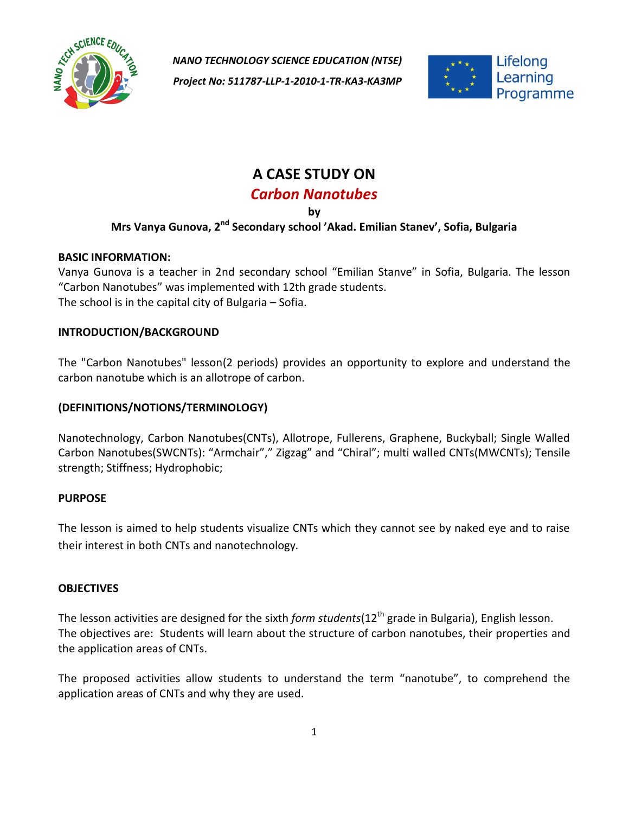

*NANO TECHNOLOGY SCIENCE EDUCATION (NTSE) Project No: 511787-LLP-1-2010-1-TR-KA3-KA3MP*



# **A CASE STUDY ON**

## *Carbon Nanotubes*

**by**

### **Mrs Vanya Gunova, 2nd Secondary school 'Akad. Emilian Stanev', Sofia, Bulgaria**

#### **BASIC INFORMATION:**

Vanya Gunova is a teacher in 2nd secondary school "Emilian Stanve" in Sofia, Bulgaria. The lesson "Carbon Nanotubes" was implemented with 12th grade students. The school is in the capital city of Bulgaria – Sofia.

#### **INTRODUCTION/BACKGROUND**

The "Carbon Nanotubes" lesson(2 periods) provides an opportunity to explore and understand the carbon nanotube which is an allotrope of carbon.

#### **(DEFINITIONS/NOTIONS/TERMINOLOGY)**

Nanotechnology, Carbon Nanotubes(CNTs), Allotrope, Fullerens, Graphene, Buckyball; Single Walled Carbon Nanotubes(SWCNTs): "Armchair"," Zigzag" and "Chiral"; multi walled CNTs(MWCNTs); Tensile strength; Stiffness; Hydrophobic;

#### **PURPOSE**

The lesson is aimed to help students visualize CNTs which they cannot see by naked eye and to raise their interest in both CNTs and nanotechnology.

#### **OBJECTIVES**

The lesson activities are designed for the sixth *form students*(12th grade in Bulgaria), English lesson. The objectives are: Students will learn about the structure of carbon nanotubes, their properties and the application areas of CNTs.

The proposed activities allow students to understand the term "nanotube", to comprehend the application areas of CNTs and why they are used.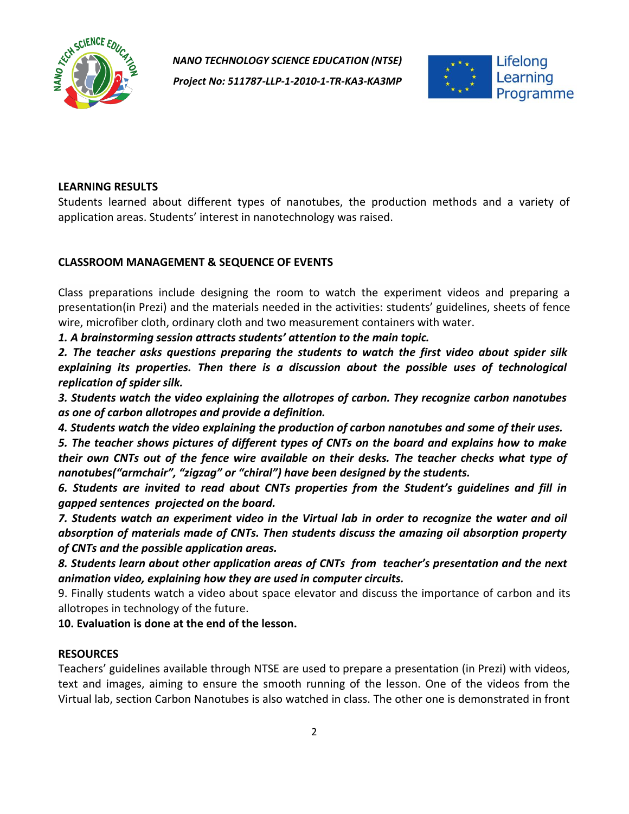

*Project No: 511787-LLP-1-2010-1-TR-KA3-KA3MP*



#### **LEARNING RESULTS**

Students learned about different types of nanotubes, the production methods and a variety of application areas. Students' interest in nanotechnology was raised.

#### **CLASSROOM MANAGEMENT & SEQUENCE OF EVENTS**

Class preparations include designing the room to watch the experiment videos and preparing a presentation(in Prezi) and the materials needed in the activities: students' guidelines, sheets of fence wire, microfiber cloth, ordinary cloth and two measurement containers with water.

*1. A brainstorming session attracts students' attention to the main topic.*

*2. The teacher asks questions preparing the students to watch the first video about spider silk explaining its properties. Then there is a discussion about the possible uses of technological replication of spider silk.*

*3. Students watch the video explaining the allotropes of carbon. They recognize carbon nanotubes as one of carbon allotropes and provide a definition.*

*4. Students watch the video explaining the production of carbon nanotubes and some of their uses.*

*5. The teacher shows pictures of different types of CNTs on the board and explains how to make their own CNTs out of the fence wire available on their desks. The teacher checks what type of nanotubes("armchair", "zigzag" or "chiral") have been designed by the students.*

*6. Students are invited to read about CNTs properties from the Student's guidelines and fill in gapped sentences projected on the board.* 

*7. Students watch an experiment video in the Virtual lab in order to recognize the water and oil absorption of materials made of CNTs. Then students discuss the amazing oil absorption property of CNTs and the possible application areas.*

*8. Students learn about other application areas of CNTs from teacher's presentation and the next animation video, explaining how they are used in computer circuits.*

9. Finally students watch a video about space elevator and discuss the importance of carbon and its allotropes in technology of the future.

**10. Evaluation is done at the end of the lesson.**

#### **RESOURCES**

Teachers' guidelines available through NTSE are used to prepare a presentation (in Prezi) with videos, text and images, aiming to ensure the smooth running of the lesson. One of the videos from the Virtual lab, section Carbon Nanotubes is also watched in class. The other one is demonstrated in front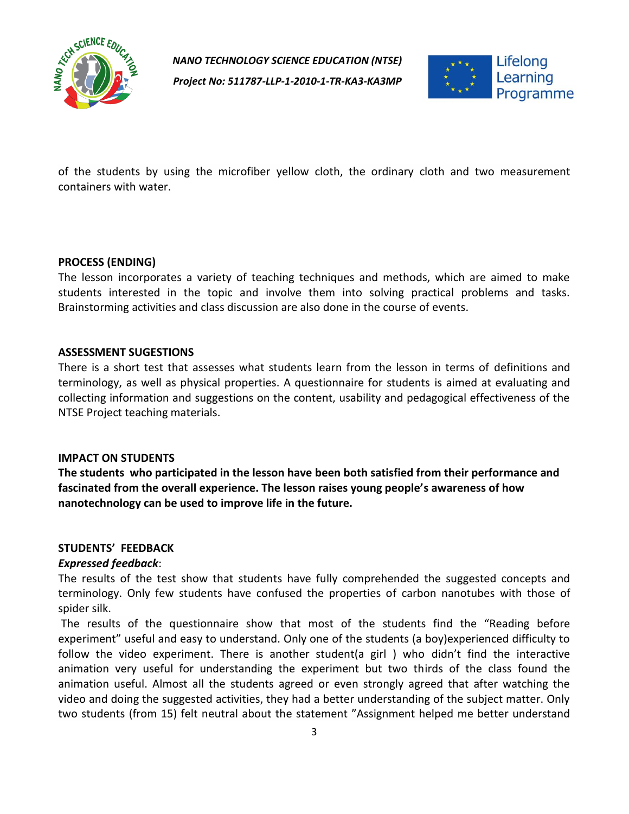

*Project No: 511787-LLP-1-2010-1-TR-KA3-KA3MP*



of the students by using the microfiber yellow cloth, the ordinary cloth and two measurement containers with water.

#### **PROCESS (ENDING)**

The lesson incorporates a variety of teaching techniques and methods, which are aimed to make students interested in the topic and involve them into solving practical problems and tasks. Brainstorming activities and class discussion are also done in the course of events.

#### **ASSESSMENT SUGESTIONS**

There is a short test that assesses what students learn from the lesson in terms of definitions and terminology, as well as physical properties. A questionnaire for students is aimed at evaluating and collecting information and suggestions on the content, usability and pedagogical effectiveness of the NTSE Project teaching materials.

#### **IMPACT ON STUDENTS**

**The students who participated in the lesson have been both satisfied from their performance and fascinated from the overall experience. The lesson raises young people's awareness of how nanotechnology can be used to improve life in the future.**

#### **STUDENTS' FEEDBACK**

#### *Expressed feedback*:

The results of the test show that students have fully comprehended the suggested concepts and terminology. Only few students have confused the properties of carbon nanotubes with those of spider silk.

The results of the questionnaire show that most of the students find the "Reading before experiment" useful and easy to understand. Only one of the students (a boy)experienced difficulty to follow the video experiment. There is another student(a girl ) who didn't find the interactive animation very useful for understanding the experiment but two thirds of the class found the animation useful. Almost all the students agreed or even strongly agreed that after watching the video and doing the suggested activities, they had a better understanding of the subject matter. Only two students (from 15) felt neutral about the statement "Assignment helped me better understand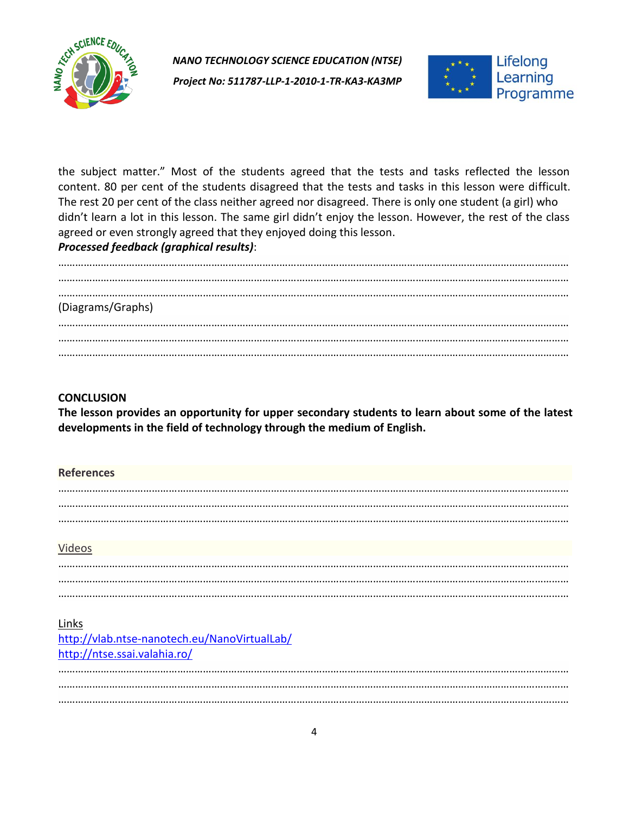

*Project No: 511787-LLP-1-2010-1-TR-KA3-KA3MP*



the subject matter." Most of the students agreed that the tests and tasks reflected the lesson content. 80 per cent of the students disagreed that the tests and tasks in this lesson were difficult. The rest 20 per cent of the class neither agreed nor disagreed. There is only one student (a girl) who didn't learn a lot in this lesson. The same girl didn't enjoy the lesson. However, the rest of the class agreed or even strongly agreed that they enjoyed doing this lesson.

#### *Processed feedback (graphical results)*:

| (Diagrams/Graphs) |  |  |
|-------------------|--|--|
|                   |  |  |
|                   |  |  |
|                   |  |  |

#### **CONCLUSION**

**The lesson provides an opportunity for upper secondary students to learn about some of the latest developments in the field of technology through the medium of English.** 

#### **References**

#### Videos

#### **Links**

| http://vlab.ntse-nanotech.eu/NanoVirtualLab/ |
|----------------------------------------------|
| http://ntse.ssai.valahia.ro/                 |
|                                              |
|                                              |
|                                              |
|                                              |